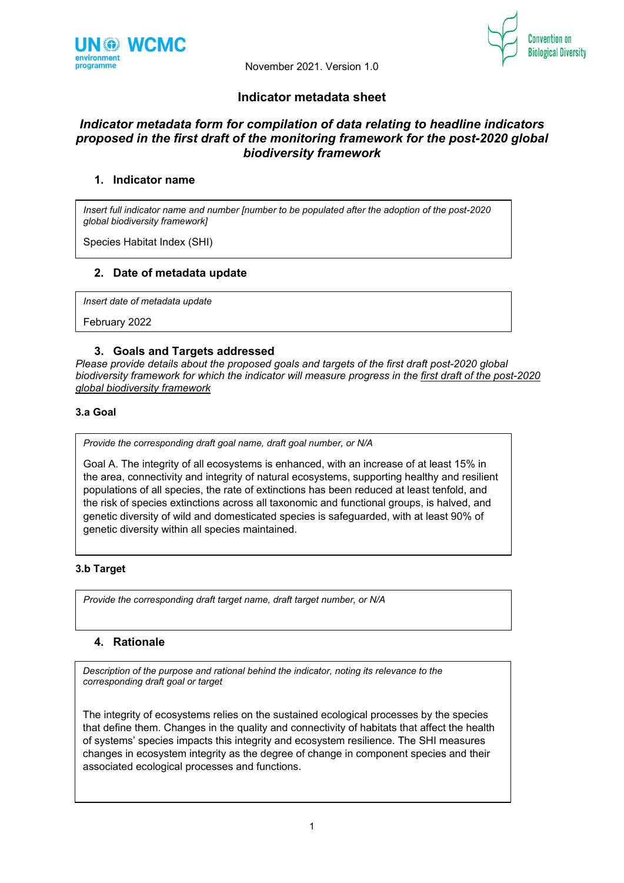



# **Indicator metadata sheet**

# *Indicator metadata form for compilation of data relating to headline indicators proposed in the first draft of the monitoring framework for the post-2020 global biodiversity framework*

# **1. Indicator name**

*Insert full indicator name and number [number to be populated after the adoption of the post-2020 global biodiversity framework]*

Species Habitat Index (SHI)

#### **2. Date of metadata update**

*Insert date of metadata update*

February 2022

#### **3. Goals and Targets addressed**

*Please provide details about the proposed goals and targets of the first draft post-2020 global biodiversity framework for which the indicator will measure progress in the first draft of the post-2020 global biodiversity framework*

# **3.a Goal**

*Provide the corresponding draft goal name, draft goal number, or N/A*

Goal A. The integrity of all ecosystems is enhanced, with an increase of at least 15% in the area, connectivity and integrity of natural ecosystems, supporting healthy and resilient populations of all species, the rate of extinctions has been reduced at least tenfold, and the risk of species extinctions across all taxonomic and functional groups, is halved, and genetic diversity of wild and domesticated species is safeguarded, with at least 90% of genetic diversity within all species maintained.

#### **3.b Target**

*Provide the corresponding draft target name, draft target number, or N/A*

# **4. Rationale**

*Description of the purpose and rational behind the indicator, noting its relevance to the corresponding draft goal or target* 

The integrity of ecosystems relies on the sustained ecological processes by the species that define them. Changes in the quality and connectivity of habitats that affect the health of systems' species impacts this integrity and ecosystem resilience. The SHI measures changes in ecosystem integrity as the degree of change in component species and their associated ecological processes and functions.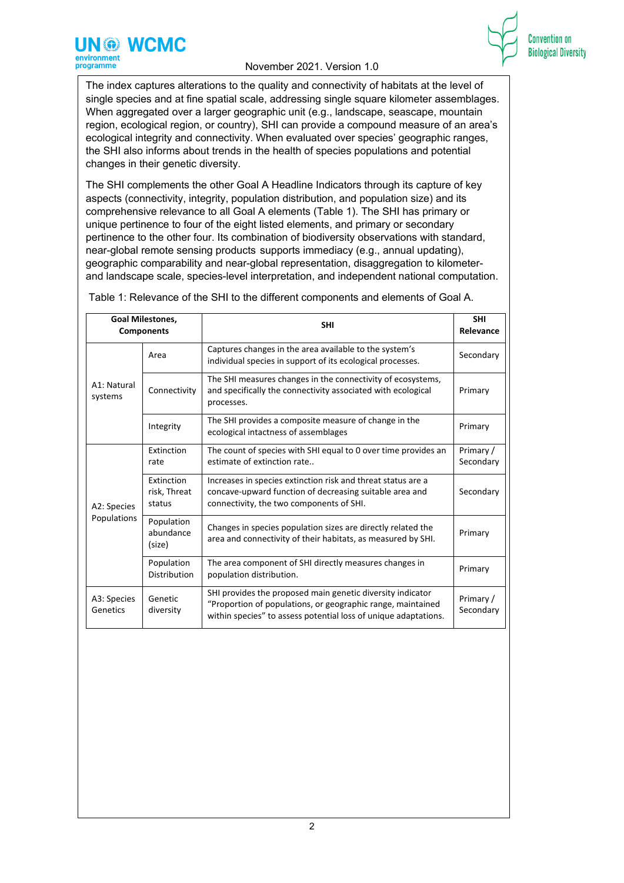

**Convention on Biological Diversity** 

The index captures alterations to the quality and connectivity of habitats at the level of single species and at fine spatial scale, addressing single square kilometer assemblages. When aggregated over a larger geographic unit (e.g., landscape, seascape, mountain region, ecological region, or country), SHI can provide a compound measure of an area's ecological integrity and connectivity. When evaluated over species' geographic ranges, the SHI also informs about trends in the health of species populations and potential changes in their genetic diversity.

The SHI complements the other Goal A Headline Indicators through its capture of key aspects (connectivity, integrity, population distribution, and population size) and its comprehensive relevance to all Goal A elements (Table 1). The SHI has primary or unique pertinence to four of the eight listed elements, and primary or secondary pertinence to the other four. Its combination of biodiversity observations with standard, near-global remote sensing products supports immediacy (e.g., annual updating), geographic comparability and near-global representation, disaggregation to kilometerand landscape scale, species-level interpretation, and independent national computation.

|                         | <b>Goal Milestones,</b><br><b>Components</b> | <b>SHI</b>                                                                                                                                                                                   | <b>SHI</b><br>Relevance |
|-------------------------|----------------------------------------------|----------------------------------------------------------------------------------------------------------------------------------------------------------------------------------------------|-------------------------|
|                         | Area                                         | Captures changes in the area available to the system's<br>individual species in support of its ecological processes.                                                                         | Secondary               |
| A1: Natural<br>systems  | Connectivity                                 | The SHI measures changes in the connectivity of ecosystems,<br>and specifically the connectivity associated with ecological<br>processes.                                                    | Primary                 |
|                         | Integrity                                    | The SHI provides a composite measure of change in the<br>ecological intactness of assemblages                                                                                                | Primary                 |
|                         | Extinction<br>rate                           | The count of species with SHI equal to 0 over time provides an<br>estimate of extinction rate                                                                                                | Primary /<br>Secondary  |
| A2: Species             | Extinction<br>risk, Threat<br>status         | Increases in species extinction risk and threat status are a<br>concave-upward function of decreasing suitable area and<br>connectivity, the two components of SHI.                          | Secondary               |
| Populations             | Population<br>abundance<br>(size)            | Changes in species population sizes are directly related the<br>area and connectivity of their habitats, as measured by SHI.                                                                 | Primary                 |
|                         | Population<br>Distribution                   | The area component of SHI directly measures changes in<br>population distribution.                                                                                                           | Primary                 |
| A3: Species<br>Genetics | Genetic<br>diversity                         | SHI provides the proposed main genetic diversity indicator<br>"Proportion of populations, or geographic range, maintained<br>within species" to assess potential loss of unique adaptations. | Primary /<br>Secondary  |

Table 1: Relevance of the SHI to the different components and elements of Goal A.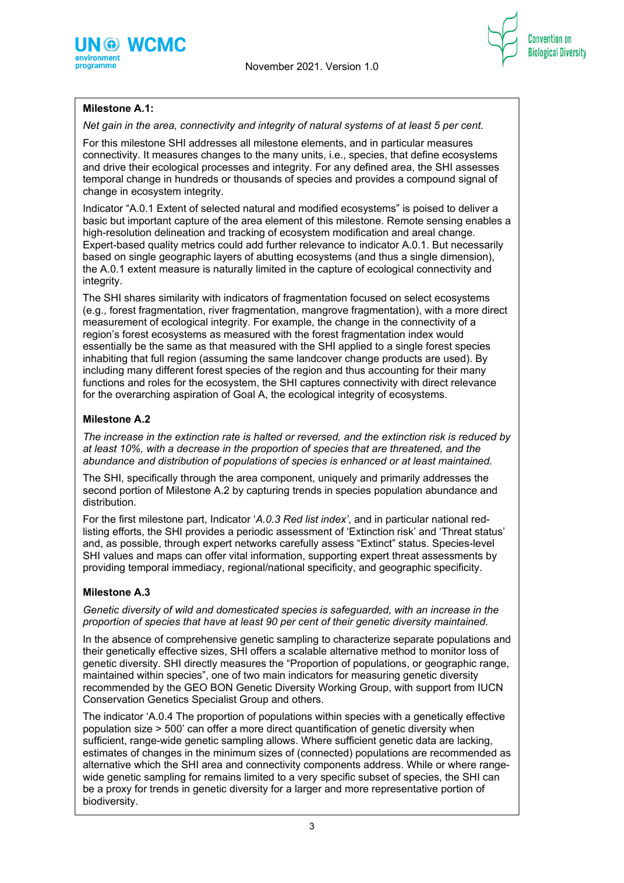



# **Milestone A.1:**

*Net gain in the area, connectivity and integrity of natural systems of at least 5 per cent.*

For this milestone SHI addresses all milestone elements, and in particular measures connectivity. It measures changes to the many units, i.e., species, that define ecosystems and drive their ecological processes and integrity. For any defined area, the SHI assesses temporal change in hundreds or thousands of species and provides a compound signal of change in ecosystem integrity.

Indicator "A.0.1 Extent of selected natural and modified ecosystems" is poised to deliver a basic but important capture of the area element of this milestone. Remote sensing enables a high-resolution delineation and tracking of ecosystem modification and areal change. Expert-based quality metrics could add further relevance to indicator A.0.1. But necessarily based on single geographic layers of abutting ecosystems (and thus a single dimension), the A.0.1 extent measure is naturally limited in the capture of ecological connectivity and integrity.

The SHI shares similarity with indicators of fragmentation focused on select ecosystems (e.g., forest fragmentation, river fragmentation, mangrove fragmentation), with a more direct measurement of ecological integrity. For example, the change in the connectivity of a region's forest ecosystems as measured with the forest fragmentation index would essentially be the same as that measured with the SHI applied to a single forest species inhabiting that full region (assuming the same landcover change products are used). By including many different forest species of the region and thus accounting for their many functions and roles for the ecosystem, the SHI captures connectivity with direct relevance for the overarching aspiration of Goal A, the ecological integrity of ecosystems.

# **Milestone A.2**

*The increase in the extinction rate is halted or reversed, and the extinction risk is reduced by at least 10%, with a decrease in the proportion of species that are threatened, and the abundance and distribution of populations of species is enhanced or at least maintained.*

The SHI, specifically through the area component, uniquely and primarily addresses the second portion of Milestone A.2 by capturing trends in species population abundance and distribution.

For the first milestone part, Indicator '*A.0.3 Red list index'*, and in particular national redlisting efforts, the SHI provides a periodic assessment of 'Extinction risk' and 'Threat status' and, as possible, through expert networks carefully assess "Extinct" status. Species-level SHI values and maps can offer vital information, supporting expert threat assessments by providing temporal immediacy, regional/national specificity, and geographic specificity.

# **Milestone A.3**

*Genetic diversity of wild and domesticated species is safeguarded, with an increase in the proportion of species that have at least 90 per cent of their genetic diversity maintained.*

In the absence of comprehensive genetic sampling to characterize separate populations and their genetically effective sizes, SHI offers a scalable alternative method to monitor loss of genetic diversity. SHI directly measures the "Proportion of populations, or geographic range, maintained within species", one of two main indicators for measuring genetic diversity recommended by the GEO BON Genetic Diversity Working Group, with support from IUCN Conservation Genetics Specialist Group and others.

The indicator 'A.0.4 The proportion of populations within species with a genetically effective population size > 500' can offer a more direct quantification of genetic diversity when sufficient, range-wide genetic sampling allows. Where sufficient genetic data are lacking, estimates of changes in the minimum sizes of (connected) populations are recommended as alternative which the SHI area and connectivity components address. While or where rangewide genetic sampling for remains limited to a very specific subset of species, the SHI can be a proxy for trends in genetic diversity for a larger and more representative portion of biodiversity.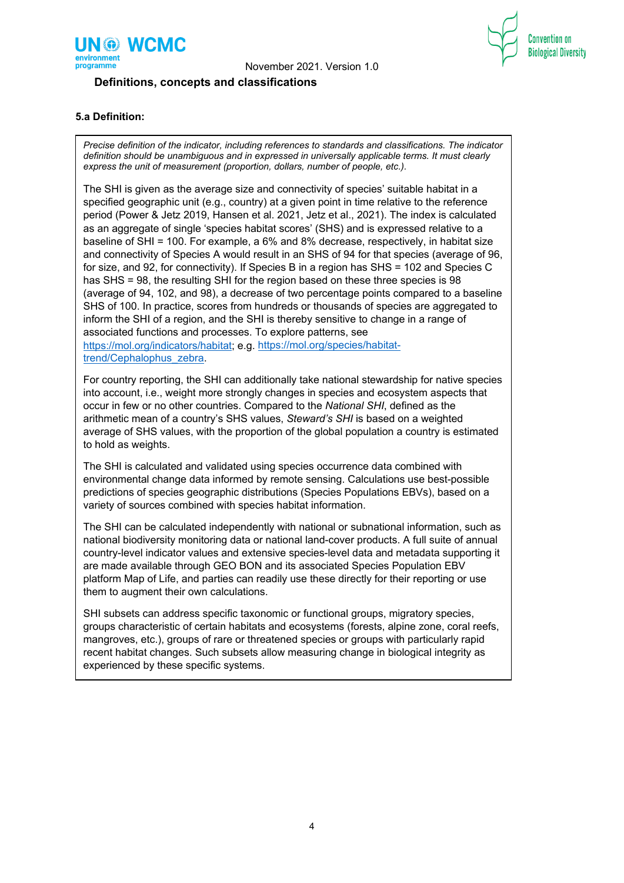

# **Definitions, concepts and classifications**



Convention or

**Biological Diversity** 

### **5.a Definition:**

*Precise definition of the indicator, including references to standards and classifications. The indicator definition should be unambiguous and in expressed in universally applicable terms. It must clearly express the unit of measurement (proportion, dollars, number of people, etc.).*

The SHI is given as the average size and connectivity of species' suitable habitat in a specified geographic unit (e.g., country) at a given point in time relative to the reference period (Power & Jetz 2019, Hansen et al. 2021, Jetz et al., 2021). The index is calculated as an aggregate of single 'species habitat scores' (SHS) and is expressed relative to a baseline of SHI = 100. For example, a 6% and 8% decrease, respectively, in habitat size and connectivity of Species A would result in an SHS of 94 for that species (average of 96, for size, and 92, for connectivity). If Species B in a region has SHS = 102 and Species C has SHS = 98, the resulting SHI for the region based on these three species is 98 (average of 94, 102, and 98), a decrease of two percentage points compared to a baseline SHS of 100. In practice, scores from hundreds or thousands of species are aggregated to inform the SHI of a region, and the SHI is thereby sensitive to change in a range of associated functions and processes. To explore patterns, see [https://mol.org/indicators/habitat;](https://mol.org/indicators/habitat) e.g. [https://mol.org/species/habitat](https://mol.org/species/habitat-trend/Cephalophus_zebra)[trend/Cephalophus\\_zebra.](https://mol.org/species/habitat-trend/Cephalophus_zebra)

For country reporting, the SHI can additionally take national stewardship for native species into account, i.e., weight more strongly changes in species and ecosystem aspects that occur in few or no other countries. Compared to the *National SHI*, defined as the arithmetic mean of a country's SHS values, *Steward's SHI* is based on a weighted average of SHS values, with the proportion of the global population a country is estimated to hold as weights.

The SHI is calculated and validated using species occurrence data combined with environmental change data informed by remote sensing. Calculations use best-possible predictions of species geographic distributions (Species Populations EBVs), based on a variety of sources combined with species habitat information.

The SHI can be calculated independently with national or subnational information, such as national biodiversity monitoring data or national land-cover products. A full suite of annual country-level indicator values and extensive species-level data and metadata supporting it are made available through GEO BON and its associated Species Population EBV platform Map of Life, and parties can readily use these directly for their reporting or use them to augment their own calculations.

SHI subsets can address specific taxonomic or functional groups, migratory species, groups characteristic of certain habitats and ecosystems (forests, alpine zone, coral reefs, mangroves, etc.), groups of rare or threatened species or groups with particularly rapid recent habitat changes. Such subsets allow measuring change in biological integrity as experienced by these specific systems.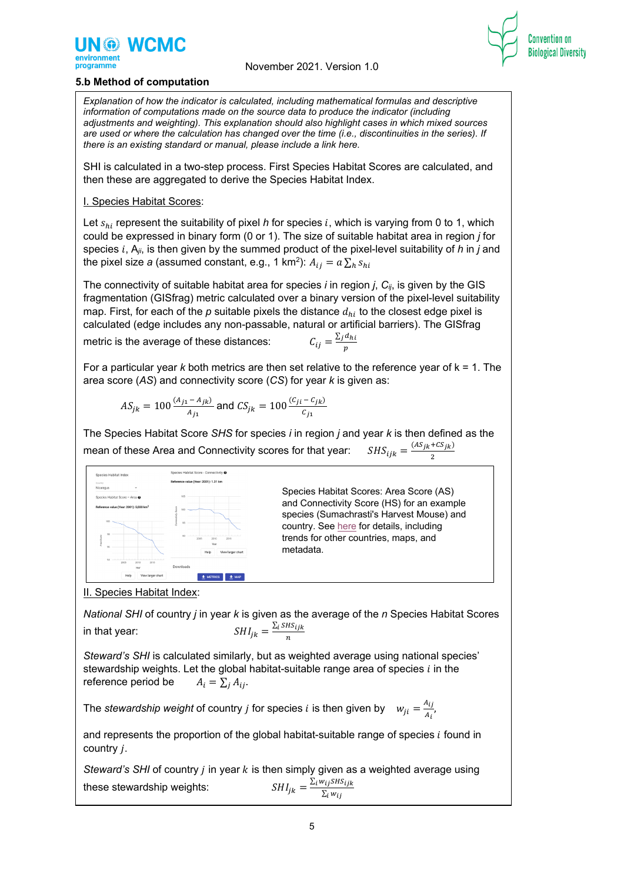



## **5.b Method of computation**

*Explanation of how the indicator is calculated, including mathematical formulas and descriptive information of computations made on the source data to produce the indicator (including adjustments and weighting). This explanation should also highlight cases in which mixed sources are used or where the calculation has changed over the time (i.e., discontinuities in the series). If there is an existing standard or manual, please include a link here.*

SHI is calculated in a two-step process. First Species Habitat Scores are calculated, and then these are aggregated to derive the Species Habitat Index.

#### I. Species Habitat Scores:

Let  $s_{hi}$  represent the suitability of pixel *h* for species i, which is varying from 0 to 1, which could be expressed in binary form (0 or 1). The size of suitable habitat area in region *j* for species  $i$ ,  $A_{ij}$ , is then given by the summed product of the pixel-level suitability of  $h$  in  $j$  and the pixel size *a* (assumed constant, e.g., 1 km<sup>2</sup>):  $A_{ij} = a \sum_{h} s_{hi}$ 

The connectivity of suitable habitat area for species *i* in region *j*, *Cij*, is given by the GIS fragmentation (GISfrag) metric calculated over a binary version of the pixel-level suitability map. First, for each of the  $p$  suitable pixels the distance  $d_{hi}$  to the closest edge pixel is calculated (edge includes any non-passable, natural or artificial barriers). The GISfrag

metric is the average of these distances:

$$
C_{ij} = \frac{\sum_j d_i}{p}
$$

For a particular year *k* both metrics are then set relative to the reference year of k = 1. The area score (*AS*) and connectivity score (*CS*) for year *k* is given as:

$$
AS_{jk} = 100 \frac{(A_{j1} - A_{jk})}{A_{j1}}
$$
 and  $CS_{jk} = 100 \frac{(C_{ji} - C_{jk})}{C_{j1}}$ 

The Species Habitat Score *SHS* for species *i* in region *j* and year *k* is then defined as the mean of these Area and Connectivity scores for that year:  $SHS_{ijk} = \frac{(AS_{jk} + CS_{jk})}{2}$ 



Species Habitat Scores: Area Score (AS) and Connectivity Score (HS) for an example species (Sumachrasti's Harvest Mouse) and country. See [here](https://mol.org/species/habitat-trend/Reithrodontomys_sumichrasti) for details, including trends for other countries, maps, and metadata.

II. Species Habitat Index:

*National SHI* of country *j* in year *k* is given as the average of the *n* Species Habitat Scores in that year:  $SHI_{jk} = \frac{\sum_i SHS_i}{n}$ 

*Steward's SHI* is calculated similarly, but as weighted average using national species' stewardship weights. Let the global habitat-suitable range area of species *i* in the reference period be  $A_i = \sum_i A_{ij}$ . reference period be

The *stewardship weight* of country *j* for species *i* is then given by  $w_{ji} = \frac{A_{ij}}{A_i}$ 

and represents the proportion of the global habitat-suitable range of species  $i$  found in country  $i$ .

*Steward's SHI* of country *j* in year *k* is then simply given as a weighted average using these stewardship weights:  $SHI_{jk}=\frac{\sum_{i}w_{ij}SHS_{ijk}}{\sum_{i}w_{i}}$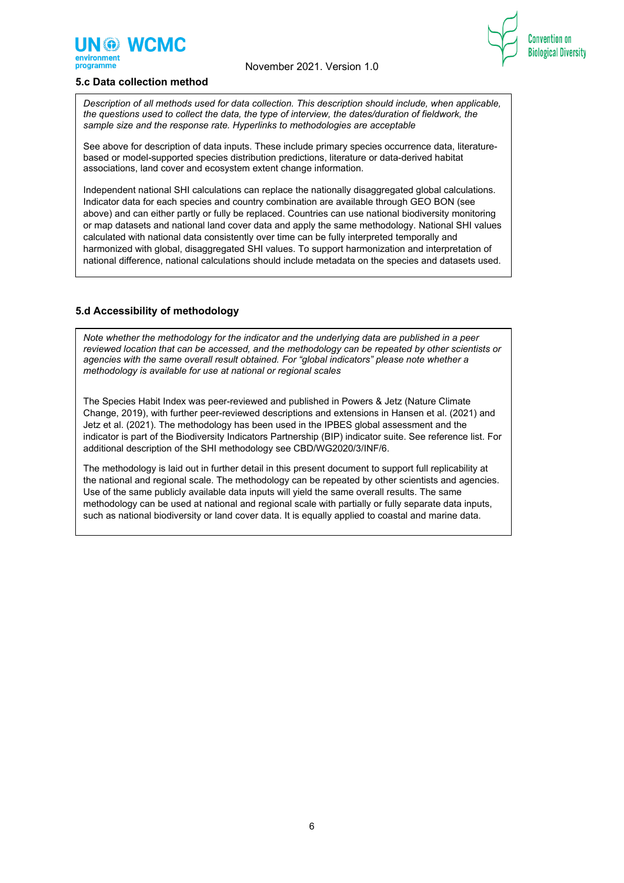



#### **5.c Data collection method**

*Description of all methods used for data collection. This description should include, when applicable, the questions used to collect the data, the type of interview, the dates/duration of fieldwork, the sample size and the response rate. Hyperlinks to methodologies are acceptable*

See above for description of data inputs. These include primary species occurrence data, literaturebased or model-supported species distribution predictions, literature or data-derived habitat associations, land cover and ecosystem extent change information.

Independent national SHI calculations can replace the nationally disaggregated global calculations. Indicator data for each species and country combination are available through GEO BON (see above) and can either partly or fully be replaced. Countries can use national biodiversity monitoring or map datasets and national land cover data and apply the same methodology. National SHI values calculated with national data consistently over time can be fully interpreted temporally and harmonized with global, disaggregated SHI values. To support harmonization and interpretation of national difference, national calculations should include metadata on the species and datasets used.

# **5.d Accessibility of methodology**

*Note whether the methodology for the indicator and the underlying data are published in a peer reviewed location that can be accessed, and the methodology can be repeated by other scientists or agencies with the same overall result obtained. For "global indicators" please note whether a methodology is available for use at national or regional scales*

The Species Habit Index was peer-reviewed and published in Powers & Jetz (Nature Climate Change, 2019), with further peer-reviewed descriptions and extensions in Hansen et al. (2021) and Jetz et al. (2021). The methodology has been used in the IPBES global assessment and the indicator is part of the Biodiversity Indicators Partnership (BIP) indicator suite. See reference list. For additional description of the SHI methodology see CBD/WG2020/3/INF/6.

The methodology is laid out in further detail in this present document to support full replicability at the national and regional scale. The methodology can be repeated by other scientists and agencies. Use of the same publicly available data inputs will yield the same overall results. The same methodology can be used at national and regional scale with partially or fully separate data inputs, such as national biodiversity or land cover data. It is equally applied to coastal and marine data.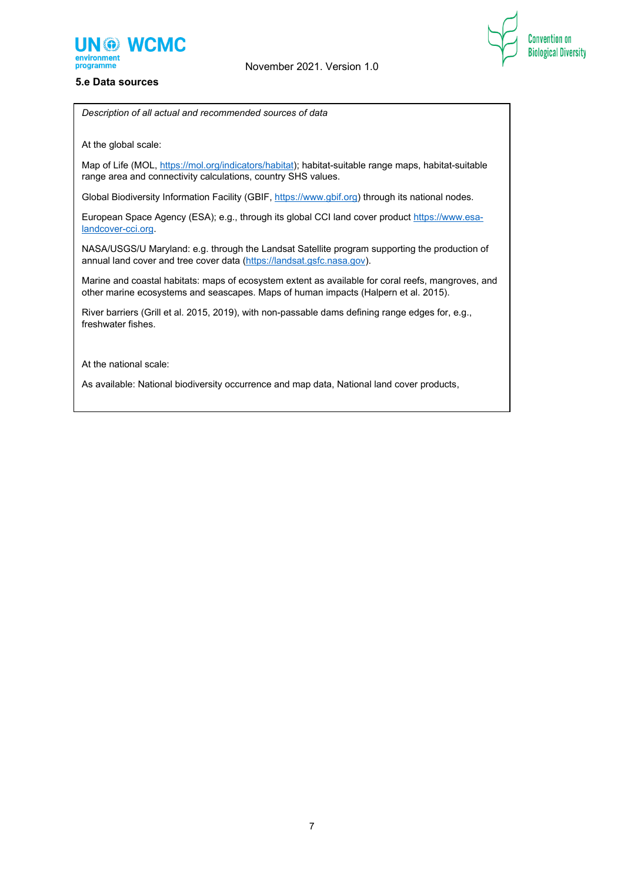

**Convention on** 

**Biological Diversity** 





At the global scale:

Map of Life (MOL[, https://mol.org/indicators/habitat\)](https://mol.org/indicators/habitat); habitat-suitable range maps, habitat-suitable range area and connectivity calculations, country SHS values.

Global Biodiversity Information Facility (GBIF, [https://www.gbif.org\)](https://www.gbif.org/) through its national nodes.

European Space Agency (ESA); e.g., through its global CCI land cover product [https://www.esa](https://www.esa-landcover-cci.org/)[landcover-cci.org.](https://www.esa-landcover-cci.org/)

NASA/USGS/U Maryland: e.g. through the Landsat Satellite program supporting the production of annual land cover and tree cover data [\(https://landsat.gsfc.nasa.gov\)](https://landsat.gsfc.nasa.gov/).

Marine and coastal habitats: maps of ecosystem extent as available for coral reefs, mangroves, and other marine ecosystems and seascapes. Maps of human impacts (Halpern et al. 2015).

River barriers (Grill et al. 2015, 2019), with non-passable dams defining range edges for, e.g., freshwater fishes.

At the national scale:

As available: National biodiversity occurrence and map data, National land cover products,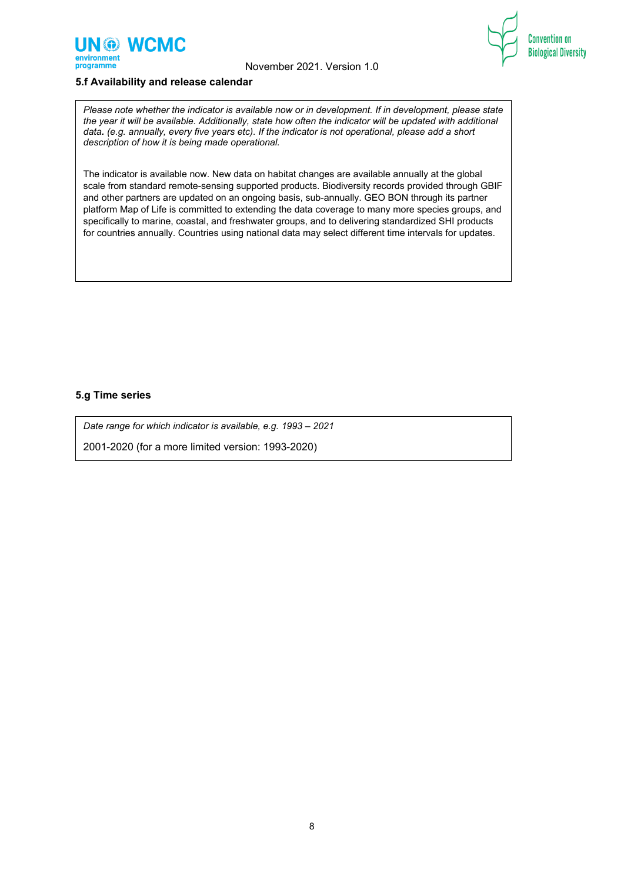





# **5.f Availability and release calendar**

*Please note whether the indicator is available now or in development. If in development, please state the year it will be available. Additionally, state how often the indicator will be updated with additional data. (e.g. annually, every five years etc). If the indicator is not operational, please add a short description of how it is being made operational.*

The indicator is available now. New data on habitat changes are available annually at the global scale from standard remote-sensing supported products. Biodiversity records provided through GBIF and other partners are updated on an ongoing basis, sub-annually. GEO BON through its partner platform Map of Life is committed to extending the data coverage to many more species groups, and specifically to marine, coastal, and freshwater groups, and to delivering standardized SHI products for countries annually. Countries using national data may select different time intervals for updates.

#### **5.g Time series**

*Date range for which indicator is available, e.g. 1993 – 2021*

2001-2020 (for a more limited version: 1993-2020)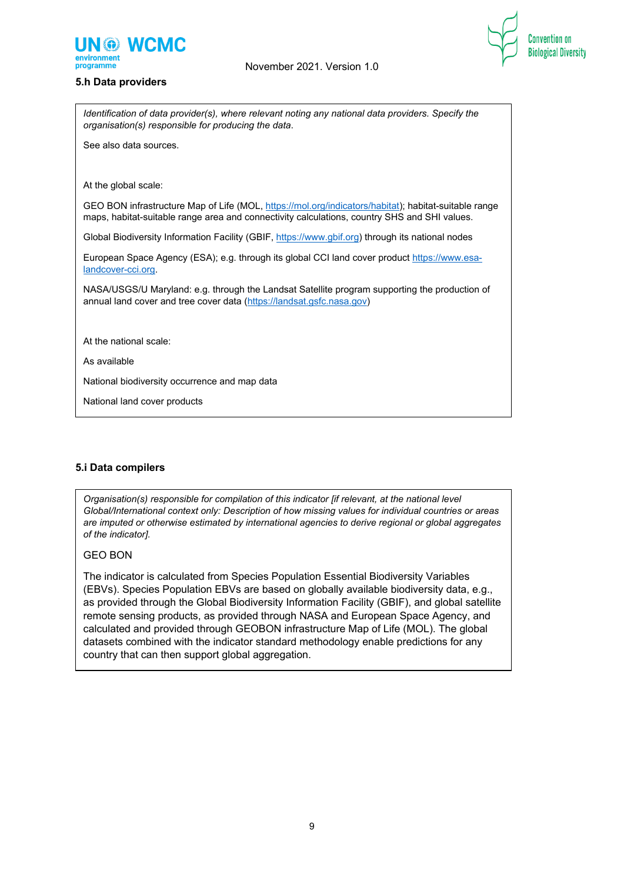

#### **5.h Data providers**





*Identification of data provider(s), where relevant noting any national data providers. Specify the organisation(s) responsible for producing the data*.

See also data sources.

At the global scale:

GEO BON infrastructure Map of Life (MOL[, https://mol.org/indicators/habitat\)](https://mol.org/indicators/habitat); habitat-suitable range maps, habitat-suitable range area and connectivity calculations, country SHS and SHI values.

Global Biodiversity Information Facility (GBIF[, https://www.gbif.org\)](https://www.gbif.org/) through its national nodes

European Space Agency (ESA); e.g. through its global CCI land cover produc[t https://www.esa](https://www.esa-landcover-cci.org/)[landcover-cci.org.](https://www.esa-landcover-cci.org/)

NASA/USGS/U Maryland: e.g. through the Landsat Satellite program supporting the production of annual land cover and tree cover data [\(https://landsat.gsfc.nasa.gov\)](https://landsat.gsfc.nasa.gov/)

At the national scale:

As available

National biodiversity occurrence and map data

National land cover products

# **5.i Data compilers**

*Organisation(s) responsible for compilation of this indicator [if relevant, at the national level Global/International context only: Description of how missing values for individual countries or areas are imputed or otherwise estimated by international agencies to derive regional or global aggregates of the indicator].*

#### GEO BON

The indicator is calculated from Species Population Essential Biodiversity Variables (EBVs). Species Population EBVs are based on globally available biodiversity data, e.g., as provided through the Global Biodiversity Information Facility (GBIF), and global satellite remote sensing products, as provided through NASA and European Space Agency, and calculated and provided through GEOBON infrastructure Map of Life (MOL). The global datasets combined with the indicator standard methodology enable predictions for any country that can then support global aggregation.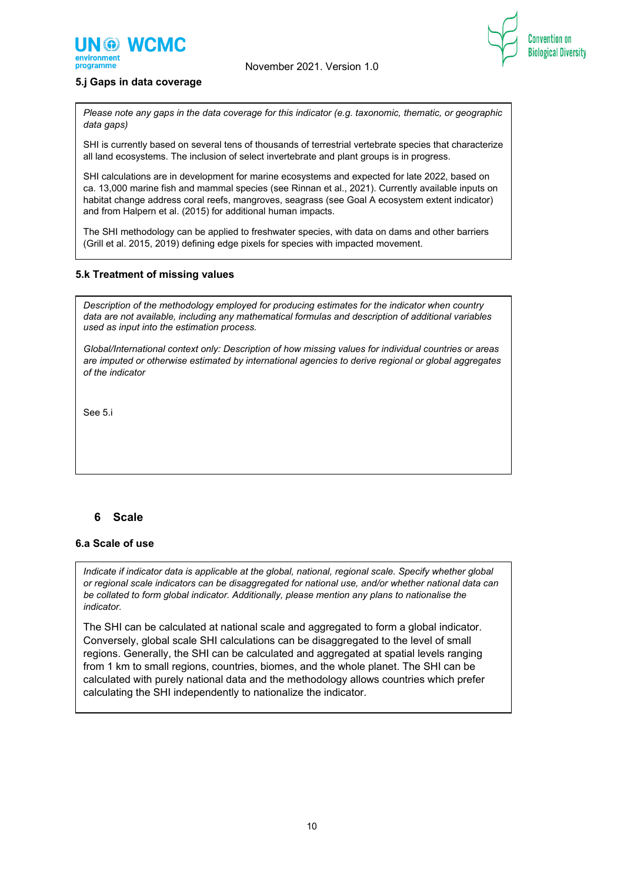



#### **5.j Gaps in data coverage**

*Please note any gaps in the data coverage for this indicator (e.g. taxonomic, thematic, or geographic data gaps)*

SHI is currently based on several tens of thousands of terrestrial vertebrate species that characterize all land ecosystems. The inclusion of select invertebrate and plant groups is in progress.

SHI calculations are in development for marine ecosystems and expected for late 2022, based on ca. 13,000 marine fish and mammal species (see Rinnan et al., 2021). Currently available inputs on habitat change address coral reefs, mangroves, seagrass (see Goal A ecosystem extent indicator) and from Halpern et al. (2015) for additional human impacts.

The SHI methodology can be applied to freshwater species, with data on dams and other barriers (Grill et al. 2015, 2019) defining edge pixels for species with impacted movement.

#### **5.k Treatment of missing values**

*Description of the methodology employed for producing estimates for the indicator when country data are not available, including any mathematical formulas and description of additional variables used as input into the estimation process.*

*Global/International context only: Description of how missing values for individual countries or areas are imputed or otherwise estimated by international agencies to derive regional or global aggregates of the indicator*

See 5.i

# **6 Scale**

#### **6.a Scale of use**

*Indicate if indicator data is applicable at the global, national, regional scale. Specify whether global or regional scale indicators can be disaggregated for national use, and/or whether national data can be collated to form global indicator. Additionally, please mention any plans to nationalise the indicator.* 

The SHI can be calculated at national scale and aggregated to form a global indicator. Conversely, global scale SHI calculations can be disaggregated to the level of small regions. Generally, the SHI can be calculated and aggregated at spatial levels ranging from 1 km to small regions, countries, biomes, and the whole planet. The SHI can be calculated with purely national data and the methodology allows countries which prefer calculating the SHI independently to nationalize the indicator.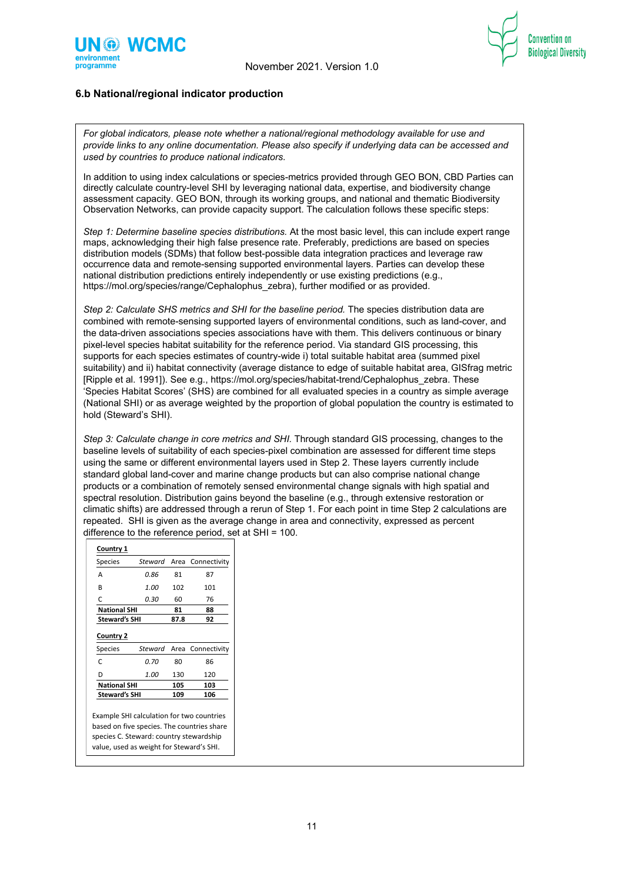



# **6.b National/regional indicator production**

*For global indicators, please note whether a national/regional methodology available for use and provide links to any online documentation. Please also specify if underlying data can be accessed and used by countries to produce national indicators.*

In addition to using index calculations or species-metrics provided through GEO BON, CBD Parties can directly calculate country-level SHI by leveraging national data, expertise, and biodiversity change assessment capacity. GEO BON, through its working groups, and national and thematic Biodiversity Observation Networks, can provide capacity support. The calculation follows these specific steps:

*Step 1: Determine baseline species distributions.* At the most basic level, this can include expert range maps, acknowledging their high false presence rate. Preferably, predictions are based on species distribution models (SDMs) that follow best-possible data integration practices and leverage raw occurrence data and remote-sensing supported environmental layers. Parties can develop these national distribution predictions entirely independently or use existing predictions (e.g., https://mol.org/species/range/Cephalophus\_zebra), further modified or as provided.

*Step 2: Calculate SHS metrics and SHI for the baseline period.* The species distribution data are combined with remote-sensing supported layers of environmental conditions, such as land-cover, and the data-driven associations species associations have with them. This delivers continuous or binary pixel-level species habitat suitability for the reference period. Via standard GIS processing, this supports for each species estimates of country-wide i) total suitable habitat area (summed pixel suitability) and ii) habitat connectivity (average distance to edge of suitable habitat area, GISfrag metric [Ripple et al. 1991]). See e.g., https://mol.org/species/habitat-trend/Cephalophus\_zebra. These 'Species Habitat Scores' (SHS) are combined for all evaluated species in a country as simple average (National SHI) or as average weighted by the proportion of global population the country is estimated to hold (Steward's SHI).

*Step 3: Calculate change in core metrics and SHI.* Through standard GIS processing, changes to the baseline levels of suitability of each species-pixel combination are assessed for different time steps using the same or different environmental layers used in Step 2. These layers currently include standard global land-cover and marine change products but can also comprise national change products or a combination of remotely sensed environmental change signals with high spatial and spectral resolution. Distribution gains beyond the baseline (e.g., through extensive restoration or climatic shifts) are addressed through a rerun of Step 1. For each point in time Step 2 calculations are repeated. SHI is given as the average change in area and connectivity, expressed as percent difference to the reference period, set at SHI = 100.

| <b>Species</b>                          | Steward |      | Area Connectivity        |
|-----------------------------------------|---------|------|--------------------------|
| А                                       | 0.86    | 81   | 87                       |
| R                                       | 1.00    | 102  | 101                      |
|                                         | 0.30    | 60   | 76                       |
| C                                       |         |      |                          |
| <b>National SHI</b>                     |         | 81   | 88                       |
| <b>Steward's SHI</b>                    |         | 87.8 | 92                       |
|                                         | Steward |      |                          |
| C                                       | 0.70    | 80   | 86                       |
| <b>Country 2</b><br><b>Species</b><br>D | 1.00    | 130  | Area Connectivity<br>120 |
| <b>National SHI</b>                     |         | 105  | 103                      |

based on five species. The countries share species C. Steward: country stewardship value, used as weight for Steward's SHI.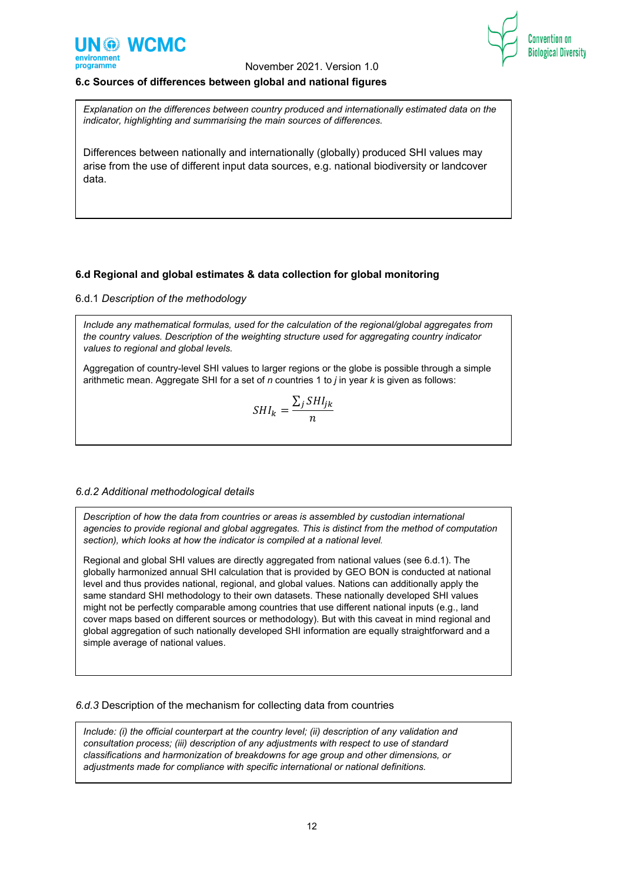



#### **6.c Sources of differences between global and national figures**

*Explanation on the differences between country produced and internationally estimated data on the indicator, highlighting and summarising the main sources of differences.*

Differences between nationally and internationally (globally) produced SHI values may arise from the use of different input data sources, e.g. national biodiversity or landcover data.

#### **6.d Regional and global estimates & data collection for global monitoring**

#### 6.d.1 *Description of the methodology*

*Include any mathematical formulas, used for the calculation of the regional/global aggregates from the country values. Description of the weighting structure used for aggregating country indicator values to regional and global levels.*

Aggregation of country-level SHI values to larger regions or the globe is possible through a simple arithmetic mean. Aggregate SHI for a set of *n* countries 1 to *j* in year *k* is given as follows:

$$
SHI_k = \frac{\sum_j SHI_{jk}}{n}
$$

#### *6.d.2 Additional methodological details*

*Description of how the data from countries or areas is assembled by custodian international agencies to provide regional and global aggregates. This is distinct from the method of computation section), which looks at how the indicator is compiled at a national level.*

Regional and global SHI values are directly aggregated from national values (see 6.d.1). The globally harmonized annual SHI calculation that is provided by GEO BON is conducted at national level and thus provides national, regional, and global values. Nations can additionally apply the same standard SHI methodology to their own datasets. These nationally developed SHI values might not be perfectly comparable among countries that use different national inputs (e.g., land cover maps based on different sources or methodology). But with this caveat in mind regional and global aggregation of such nationally developed SHI information are equally straightforward and a simple average of national values.

#### *6.d.3* Description of the mechanism for collecting data from countries

*Include: (i) the official counterpart at the country level; (ii) description of any validation and consultation process; (iii) description of any adjustments with respect to use of standard classifications and harmonization of breakdowns for age group and other dimensions, or adjustments made for compliance with specific international or national definitions.*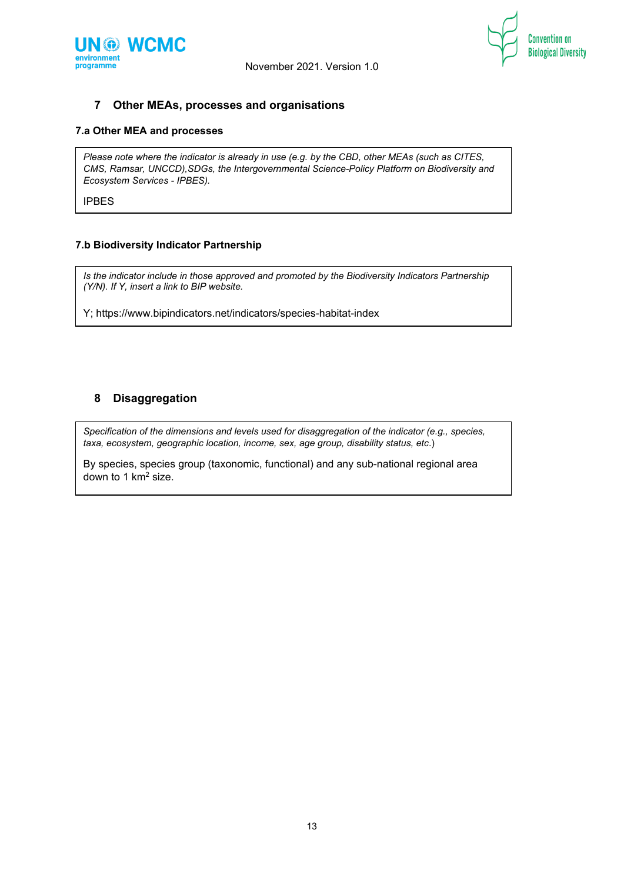



# **7 Other MEAs, processes and organisations**

# **7.a Other MEA and processes**

*Please note where the indicator is already in use (e.g. by the CBD, other MEAs (such as CITES, CMS, Ramsar, UNCCD),SDGs, the Intergovernmental Science-Policy Platform on Biodiversity and Ecosystem Services - IPBES).*

IPBES

#### **7.b Biodiversity Indicator Partnership**

*Is the indicator include in those approved and promoted by the Biodiversity Indicators Partnership (Y/N). If Y, insert a link to BIP website.*

Y; https://www.bipindicators.net/indicators/species-habitat-index

# **8 Disaggregation**

*Specification of the dimensions and levels used for disaggregation of the indicator (e.g., species, taxa, ecosystem, geographic location, income, sex, age group, disability status, etc*.)

By species, species group (taxonomic, functional) and any sub-national regional area down to 1 km<sup>2</sup> size.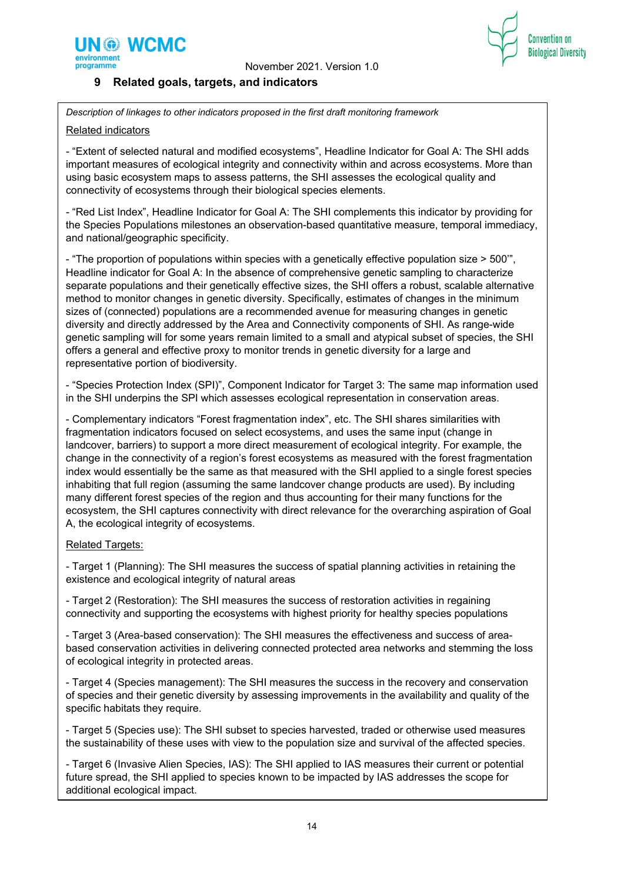



# **9 Related goals, targets, and indicators**

*Description of linkages to other indicators proposed in the first draft monitoring framework*

# Related indicators

- "Extent of selected natural and modified ecosystems", Headline Indicator for Goal A: The SHI adds important measures of ecological integrity and connectivity within and across ecosystems. More than using basic ecosystem maps to assess patterns, the SHI assesses the ecological quality and connectivity of ecosystems through their biological species elements.

- "Red List Index", Headline Indicator for Goal A: The SHI complements this indicator by providing for the Species Populations milestones an observation-based quantitative measure, temporal immediacy, and national/geographic specificity.

- "The proportion of populations within species with a genetically effective population size > 500'", Headline indicator for Goal A: In the absence of comprehensive genetic sampling to characterize separate populations and their genetically effective sizes, the SHI offers a robust, scalable alternative method to monitor changes in genetic diversity. Specifically, estimates of changes in the minimum sizes of (connected) populations are a recommended avenue for measuring changes in genetic diversity and directly addressed by the Area and Connectivity components of SHI. As range-wide genetic sampling will for some years remain limited to a small and atypical subset of species, the SHI offers a general and effective proxy to monitor trends in genetic diversity for a large and representative portion of biodiversity.

- "Species Protection Index (SPI)", Component Indicator for Target 3: The same map information used in the SHI underpins the SPI which assesses ecological representation in conservation areas.

- Complementary indicators "Forest fragmentation index", etc. The SHI shares similarities with fragmentation indicators focused on select ecosystems, and uses the same input (change in landcover, barriers) to support a more direct measurement of ecological integrity. For example, the change in the connectivity of a region's forest ecosystems as measured with the forest fragmentation index would essentially be the same as that measured with the SHI applied to a single forest species inhabiting that full region (assuming the same landcover change products are used). By including many different forest species of the region and thus accounting for their many functions for the ecosystem, the SHI captures connectivity with direct relevance for the overarching aspiration of Goal A, the ecological integrity of ecosystems.

# Related Targets:

- Target 1 (Planning): The SHI measures the success of spatial planning activities in retaining the existence and ecological integrity of natural areas

- Target 2 (Restoration): The SHI measures the success of restoration activities in regaining connectivity and supporting the ecosystems with highest priority for healthy species populations

- Target 3 (Area-based conservation): The SHI measures the effectiveness and success of areabased conservation activities in delivering connected protected area networks and stemming the loss of ecological integrity in protected areas.

- Target 4 (Species management): The SHI measures the success in the recovery and conservation of species and their genetic diversity by assessing improvements in the availability and quality of the specific habitats they require.

- Target 5 (Species use): The SHI subset to species harvested, traded or otherwise used measures the sustainability of these uses with view to the population size and survival of the affected species.

- Target 6 (Invasive Alien Species, IAS): The SHI applied to IAS measures their current or potential future spread, the SHI applied to species known to be impacted by IAS addresses the scope for additional ecological impact.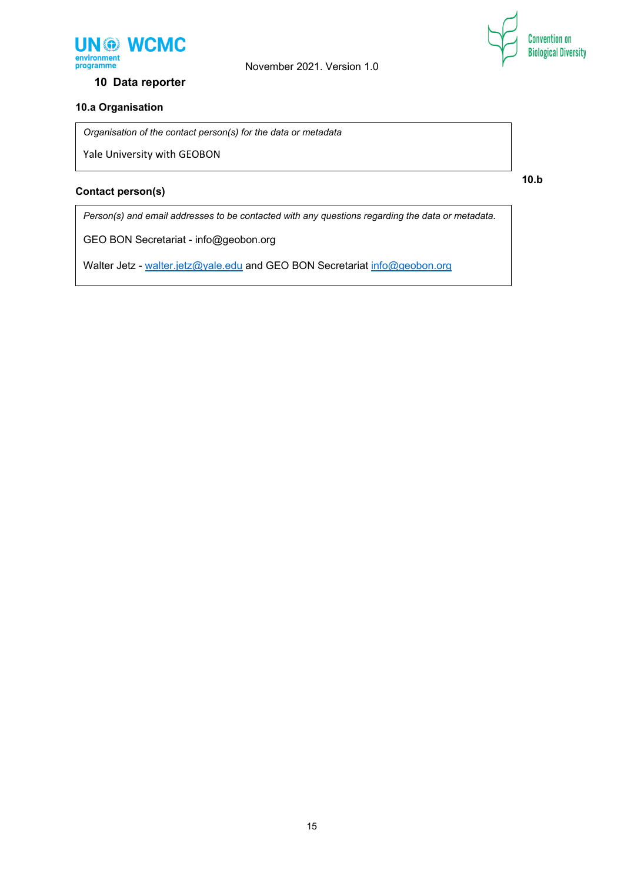



**10 Data reporter**

# **10.a Organisation**

*Organisation of the contact person(s) for the data or metadata*

Yale University with GEOBON

# **Contact person(s)**

**10.b** 

*Person(s) and email addresses to be contacted with any questions regarding the data or metadata.*

GEO BON Secretariat - info@geobon.org

Walter Jetz - [walter.jetz@yale.edu](mailto:walter.jetz@yale.edu) and GEO BON Secretariat [info@geobon.org](mailto:info@geobon.org)